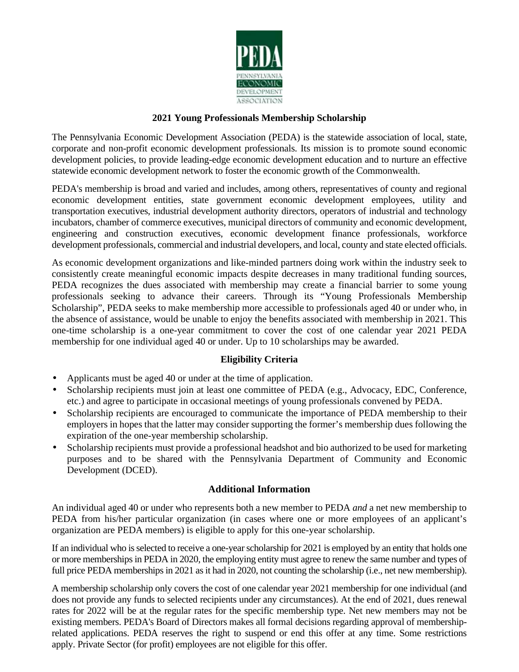

## **2021 Young Professionals Membership Scholarship**

The Pennsylvania Economic Development Association (PEDA) is the statewide association of local, state, corporate and non-profit economic development professionals. Its mission is to promote sound economic development policies, to provide leading-edge economic development education and to nurture an effective statewide economic development network to foster the economic growth of the Commonwealth.

PEDA's membership is broad and varied and includes, among others, representatives of county and regional economic development entities, state government economic development employees, utility and transportation executives, industrial development authority directors, operators of industrial and technology incubators, chamber of commerce executives, municipal directors of community and economic development, engineering and construction executives, economic development finance professionals, workforce development professionals, commercial and industrial developers, and local, county and state elected officials.

As economic development organizations and like-minded partners doing work within the industry seek to consistently create meaningful economic impacts despite decreases in many traditional funding sources, PEDA recognizes the dues associated with membership may create a financial barrier to some young professionals seeking to advance their careers. Through its "Young Professionals Membership Scholarship", PEDA seeks to make membership more accessible to professionals aged 40 or under who, in the absence of assistance, would be unable to enjoy the benefits associated with membership in 2021. This one-time scholarship is a one-year commitment to cover the cost of one calendar year 2021 PEDA membership for one individual aged 40 or under. Up to 10 scholarships may be awarded.

# **Eligibility Criteria**

- Applicants must be aged 40 or under at the time of application. ä,
- Scholarship recipients must join at least one committee of PEDA (e.g., Advocacy, EDC, Conference, ä, etc.) and agree to participate in occasional meetings of young professionals convened by PEDA.
- Scholarship recipients are encouraged to communicate the importance of PEDA membership to their ä, employers in hopes that the latter may consider supporting the former's membership dues following the expiration of the one-year membership scholarship.
- Scholarship recipients must provide a professional headshot and bio authorized to be used for marketing purposes and to be shared with the Pennsylvania Department of Community and Economic Development (DCED).

### **Additional Information**

An individual aged 40 or under who represents both a new member to PEDA *and* a net new membership to PEDA from his/her particular organization (in cases where one or more employees of an applicant's organization are PEDA members) is eligible to apply for this one-year scholarship.

If an individual who is selected to receive a one-year scholarship for 2021 is employed by an entity that holds one or more memberships in PEDA in 2020, the employing entity must agree to renew the same number and types of full price PEDA memberships in 2021 as it had in 2020, not counting the scholarship (i.e., net new membership).

A membership scholarship only covers the cost of one calendar year 2021 membership for one individual (and does not provide any funds to selected recipients under any circumstances). At the end of 2021, dues renewal rates for 2022 will be at the regular rates for the specific membership type. Net new members may not be existing members. PEDA's Board of Directors makes all formal decisions regarding approval of membershiprelated applications. PEDA reserves the right to suspend or end this offer at any time. Some restrictions apply. Private Sector (for profit) employees are not eligible for this offer.